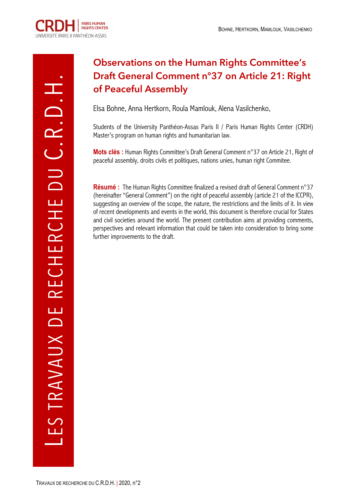# **Observations on the Human Rights Committee's Draft General Comment n°37 on Article 21: Right of Peaceful Assembly**

Elsa Bohne, Anna Hertkorn, Roula Mamlouk, Alena Vasilchenko,

Students of the University Panthéon-Assas Paris II / Paris Human Rights Center (CRDH) Master's program on human rights and humanitarian law.

**Mots clés :** Human Rights Committee's Draft General Comment n°37 on Article 21, Right of peaceful assembly, droits civils et politiques, nations unies, human right Commitee.

**Résumé :** The Human Rights Committee finalized a revised draft of General Comment n°37 (hereinafter "General Comment") on the right of peaceful assembly (article 21 of the ICCPR), suggesting an overview of the scope, the nature, the restrictions and the limits of it. In view of recent developments and events in the world, this document is therefore crucial for States and civil societies around the world. The present contribution aims at providing comments, perspectives and relevant information that could be taken into consideration to bring some further improvements to the draft.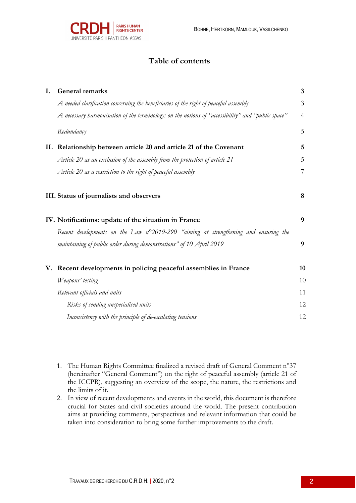

# **Table of contents**

| I. | <b>General remarks</b>                                                                             | $\mathbf{3}$   |
|----|----------------------------------------------------------------------------------------------------|----------------|
|    | A needed clarification concerning the beneficiaries of the right of peaceful assembly              | 3              |
|    | A necessary harmonisation of the terminology: on the notions of "accessibility" and "public space" | $\overline{4}$ |
|    | Redundancy                                                                                         | 5              |
|    | II. Relationship between article 20 and article 21 of the Covenant                                 | 5              |
|    | Article 20 as an exclusion of the assembly from the protection of article 21                       | 5              |
|    | Article 20 as a restriction to the right of peaceful assembly                                      | $\overline{7}$ |
|    | III. Status of journalists and observers                                                           | $\bf{8}$       |
|    | IV. Notifications: update of the situation in France                                               | 9              |
|    | Recent developments on the Law n°2019-290 "aiming at strengthening and ensuring the                |                |
|    | maintaining of public order during demonstrations" of 10 April 2019                                | 9              |
|    | V. Recent developments in policing peaceful assemblies in France                                   | 10             |
|    | Weapons' testing                                                                                   | 10             |
|    | Relevant officials and units                                                                       | 11             |
|    | Risks of sending unspecialised units                                                               | 12             |
|    | Inconsistency with the principle of de-escalating tensions                                         | 12             |
|    |                                                                                                    |                |

- 1. The Human Rights Committee finalized a revised draft of General Comment n°37 (hereinafter "General Comment") on the right of peaceful assembly (article 21 of the ICCPR), suggesting an overview of the scope, the nature, the restrictions and the limits of it.
- 2. In view of recent developments and events in the world, this document is therefore crucial for States and civil societies around the world. The present contribution aims at providing comments, perspectives and relevant information that could be taken into consideration to bring some further improvements to the draft.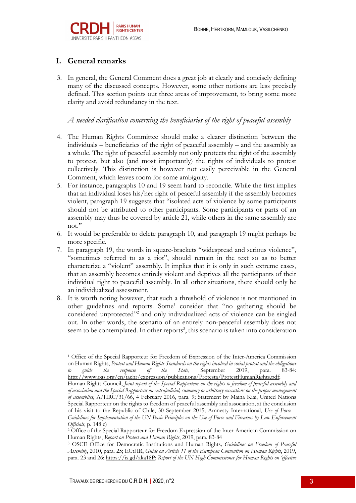

# **I. General remarks**

3. In general, the General Comment does a great job at clearly and concisely defining many of the discussed concepts. However, some other notions are less precisely defined. This section points out three areas of improvement, to bring some more clarity and avoid redundancy in the text.

*A needed clarification concerning the beneficiaries of the right of peaceful assembly*

- 4. The Human Rights Committee should make a clearer distinction between the individuals – beneficiaries of the right of peaceful assembly – and the assembly as a whole. The right of peaceful assembly not only protects the right of the assembly to protest, but also (and most importantly) the rights of individuals to protest collectively. This distinction is however not easily perceivable in the General Comment, which leaves room for some ambiguity.
- 5. For instance, paragraphs 10 and 19 seem hard to reconcile. While the first implies that an individual loses his/her right of peaceful assembly if the assembly becomes violent, paragraph 19 suggests that "isolated acts of violence by some participants should not be attributed to other participants. Some participants or parts of an assembly may thus be covered by article 21, while others in the same assembly are not."
- 6. It would be preferable to delete paragraph 10, and paragraph 19 might perhaps be more specific.
- 7. In paragraph 19, the words in square-brackets "widespread and serious violence", "sometimes referred to as a riot", should remain in the text so as to better characterize a "violent" assembly. It implies that it is only in such extreme cases, that an assembly becomes entirely violent and deprives all the participants of their individual right to peaceful assembly. In all other situations, there should only be an individualized assessment.
- 8. It is worth noting however, that such a threshold of violence is not mentioned in other guidelines and reports. Some<sup>1</sup> consider that "no gathering should be considered unprotected"<sup>2</sup> and only individualized acts of violence can be singled out. In other words, the scenario of an entirely non-peaceful assembly does not seem to be contemplated. In other reports<sup>3</sup>, this scenario is taken into consideration

<sup>1</sup> Office of the Special Rapporteur for Freedom of Expression of the Inter-America Commission on Human Rights, *Protest and Human Rights Standards on the rights involved in social protest and the obligations to guide the response of the State*, September 2019, para. 83-84: http://www.oas.org/en/iachr/expression/publications/Protesta/ProtestHumanRights.pdf;

Human Rights Council, *Joint report of the Special Rapporteur on the rights to freedom of peaceful assembly and of association and the Special Rapporteur on extrajudicial, summary or arbitrary executions on the proper management of assemblies*, A/HRC/31/66, 4 February 2016, para. 9; Statement by Maina Kiai, United Nations Special Rapporteur on the rights to freedom of peaceful assembly and association, at the conclusion of his visit to the Republic of Chile, 30 September 2015; Amnesty International, *Use of Force – Guidelines for Implementation of the UN Basic Principles on the Use of Force and Firearms by Law Enforcement* 

*Officials*, p. 148 c)<br><sup>2</sup> Office of the Special Rapporteur for Freedom Expression of the Inter-American Commission on Human Rights, *Report on Protest and Human Rights*, 2019, para. 83-84<br><sup>3</sup> OSCE Office for Democratic Institutions and Human Rights, *Guidelines on Freedom of Peaceful* 

*Assembly*, 2010, para. 25; ECtHR, *Guide on Article 11 of the European Convention on Human Rights*, 2019, para. 23 and 26: https://is.gd/aka18P; *Report of the UN High Commissioner for Human Rights on 'effective*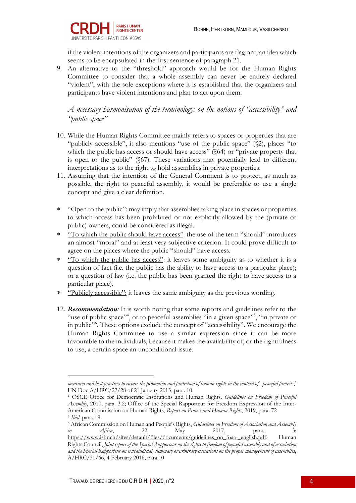

if the violent intentions of the organizers and participants are flagrant, an idea which seems to be encapsulated in the first sentence of paragraph 21.

9. An alternative to the "threshold" approach would be for the Human Rights Committee to consider that a whole assembly can never be entirely declared "violent", with the sole exceptions where it is established that the organizers and participants have violent intentions and plan to act upon them.

*A necessary harmonisation of the terminology: on the notions of "accessibility" and "public space"* 

- 10. While the Human Rights Committee mainly refers to spaces or properties that are "publicly accessible", it also mentions "use of the public space" (§2), places "to which the public has access or should have access" (§64) or "private property that is open to the public" (§67). These variations may potentially lead to different interpretations as to the right to hold assemblies in private properties.
- 11. Assuming that the intention of the General Comment is to protect, as much as possible, the right to peaceful assembly, it would be preferable to use a single concept and give a clear definition.
- \* "Open to the public": may imply that assemblies taking place in spaces or properties to which access has been prohibited or not explicitly allowed by the (private or public) owners, could be considered as illegal.
- \* "To which the public should have access": the use of the term "should" introduces an almost "moral" and at least very subjective criterion. It could prove difficult to agree on the places where the public "should" have access.
- \* "To which the public has access": it leaves some ambiguity as to whether it is a question of fact (i.e. the public has the ability to have access to a particular place); or a question of law (i.e. the public has been granted the right to have access to a particular place).
- \* "Publicly accessible": it leaves the same ambiguity as the previous wording.
- 12. *Recommendation:* It is worth noting that some reports and guidelines refer to the "use of public space"<sup>4</sup>, or to peaceful assemblies "in a given space"<sup>5</sup>, "in private or in public"6 . These options exclude the concept of "accessibility". We encourage the Human Rights Committee to use a similar expression since it can be more favourable to the individuals, because it makes the availability of, or the rightfulness to use, a certain space an unconditional issue.

*measures and best practices to ensure the promotion and protection of human rights in the context of peaceful protests*,' UN Doc A/HRC/22/28 of 21 January 2013, para. 10

<sup>4</sup> OSCE Office for Democratic Institutions and Human Rights*, Guidelines on Freedom of Peaceful Assembly*, 2010, para. 3.2; Office of the Special Rapporteur for Freedom Expression of the Inter-American Commission on Human Rights, *Report on Protest and Human Rights*, 2019, para. 72 <sup>5</sup> *Ibid*, para. 19

<sup>6</sup> African Commission on Human and People's Rights, *Guidelines on Freedom of Association and Assembly in Africa*, 22 May 2017, para. 3:

https://www.ishr.ch/sites/default/files/documents/guidelines\_on\_foaa-\_english.pdf; Human Rights Council, *Joint report of the Special Rapporteur on the rights to freedom of peaceful assembly and of association and the Special Rapporteur on extrajudicial, summary or arbitrary executions on the proper management of assemblies*, A/HRC/31/66, 4 February 2016, para.10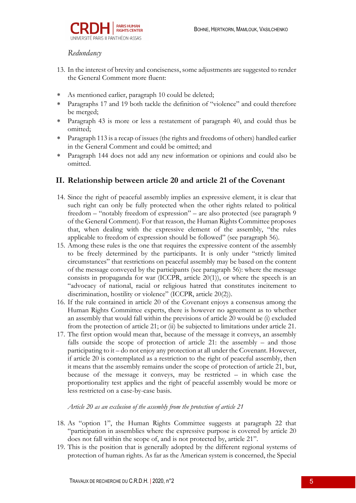## *Redundancy*

- 13. In the interest of brevity and conciseness, some adjustments are suggested to render the General Comment more fluent:
- \* As mentioned earlier, paragraph 10 could be deleted;
- \* Paragraphs 17 and 19 both tackle the definition of "violence" and could therefore be merged;
- \* Paragraph 43 is more or less a restatement of paragraph 40, and could thus be omitted;
- \* Paragraph 113 is a recap of issues (the rights and freedoms of others) handled earlier in the General Comment and could be omitted; and
- \* Paragraph 144 does not add any new information or opinions and could also be omitted.

#### **II. Relationship between article 20 and article 21 of the Covenant**

- 14. Since the right of peaceful assembly implies an expressive element, it is clear that such right can only be fully protected when the other rights related to political freedom – "notably freedom of expression" – are also protected (see paragraph 9 of the General Comment). For that reason, the Human Rights Committee proposes that, when dealing with the expressive element of the assembly, "the rules applicable to freedom of expression should be followed" (see paragraph 56).
- 15. Among these rules is the one that requires the expressive content of the assembly to be freely determined by the participants. It is only under "strictly limited circumstances" that restrictions on peaceful assembly may be based on the content of the message conveyed by the participants (see paragraph 56): where the message consists in propaganda for war (ICCPR, article  $20(1)$ ), or where the speech is an "advocacy of national, racial or religious hatred that constitutes incitement to discrimination, hostility or violence" (ICCPR, article 20(2)).
- 16. If the rule contained in article 20 of the Covenant enjoys a consensus among the Human Rights Committee experts, there is however no agreement as to whether an assembly that would fall within the previsions of article 20 would be (i) excluded from the protection of article 21; or (ii) be subjected to limitations under article 21.
- 17. The first option would mean that, because of the message it conveys, an assembly falls outside the scope of protection of article 21: the assembly – and those participating to it – do not enjoy any protection at all under the Covenant. However, if article 20 is contemplated as a restriction to the right of peaceful assembly, then it means that the assembly remains under the scope of protection of article 21, but, because of the message it conveys, may be restricted – in which case the proportionality test applies and the right of peaceful assembly would be more or less restricted on a case-by-case basis.

#### *Article 20 as an exclusion of the assembly from the protection of article 21*

- 18. As "option 1", the Human Rights Committee suggests at paragraph 22 that "participation in assemblies where the expressive purpose is covered by article 20 does not fall within the scope of, and is not protected by, article 21".
- 19. This is the position that is generally adopted by the different regional systems of protection of human rights. As far as the American system is concerned, the Special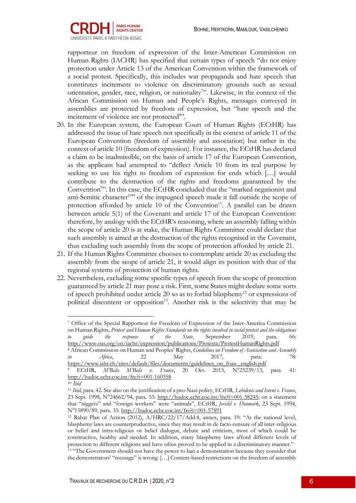

rapporteur on freedom of expression of the Inter-American Commission on Human Rights (IACHR) has specified that certain types of speech "do not enjoy protection under Article 13 of the American Convention within the framework of a social protest. Specifically, this includes war propaganda and hate speech that constitutes incitement to violence on discriminatory grounds such as sexual orientation, gender, race, religion, or nationality<sup>7</sup>". Likewise, in the context of the African Commission on Human and People's Rights, messages conveyed in assemblies are protected by freedom of expression, but "hate speech and the incitement of violence are not protected<sup>8</sup>".

- 20. In the European system, the European Court of Human Rights (ECtHR) has addressed the issue of hate speech not specifically in the context of article 11 of the European Convention (freedom of assembly and association) but rather in the context of article 10 (freedom of expression). For instance, the ECtHR has declared a claim to be inadmissible, on the basis of article 17 of the European Convention, as the applicant had attempted to "deflect Article 10 from its real purpose by seeking to use his right to freedom of expression for ends which […] would contribute to the destruction of the rights and freedoms guaranteed by the Convention<sup>9</sup>". In this case, the ECtHR concluded that the "marked negationist and anti-Semitic character<sup>10</sup>" of the impugned speech made it fall outside the scope of protection afforded by article 10 of the Convention<sup>11</sup>. A parallel can be drawn between article 5(1) of the Covenant and article 17 of the European Convention: therefore, by analogy with the ECtHR's reasoning, where an assembly falling within the scope of article 20 is at stake, the Human Rights Committee could declare that such assembly is aimed at the destruction of the rights recognised in the Covenant, thus excluding such assembly from the scope of protection afforded by article 21.
- 21. If the Human Rights Committee chooses to contemplate article 20 as excluding the assembly from the scope of article 21, it would align its position with that of the regional systems of protection of human rights.
- 22. Nevertheless, excluding some specific types of speech from the scope of protection guaranteed by article 21 may pose a risk. First, some States might declare some sorts of speech prohibited under article 20 so as to forbid blasphemy<sup>12</sup> or expressions of political discontent or opposition<sup>13</sup>. Another risk is the selectivity that may be

<sup>8</sup> African Commission on Human and Peoples' Rights, *Guidelines on Freedom of Association and Assembly in Africa*, 22 May 2017, para. 78: https://www.ishr.ch/sites/default/files/documents/guidelines\_on\_foaa-\_english.pdf

<sup>7</sup> Office of the Special Rapporteur for Freedom of Expression of the Inter-America Commission on Human Rights, *Protest and Human Rights Standards on the rights involved in social protest and the obligations to guide the response of the State*, September 2019, para. 66: http://www.oas.org/en/iachr/expression/publications/Protesta/ProtestHumanRights.pdf

<sup>9</sup> ECtHR, *M'Bala M'Bala v. France*, 20 Oct. 2015, N°25239/13, para. 41: http://hudoc.echr.coe.int/fre?i=001-160358

<sup>10</sup> *Ibid*

<sup>11</sup> *Ibid*, para. 42. See also on the justification of a pro-Nazi policy, ECtHR, *Lehideux and Isorni v. France*, 23 Sept. 1998,  $N^{\circ}24662/94$ , para. 53: http://hudoc.echr.coe.int/fre?i=001-58245; on a statement that "niggers" and "foreign workers" were "animals", ECtHR, *Jersild v. Denmark*, 23 Sept. 1994, N°15890/89, para. 35: http://hudoc.echr.coe.int/fre?i=001-57891

<sup>&</sup>lt;sup>12</sup> Rabat Plan of Action (2012),  $A/HRC/22/17/Add.4$ , annex, para. 19: "At the national level, blasphemy laws are counterproductive, since they may result in de facto censure of all inter-religious or belief and intra-religious or belief dialogue, debate and criticism, most of which could be constructive, healthy and needed. In addition, many blasphemy laws afford different levels of protection to different religions and have often proved to be applied in a discriminatory manner."

<sup>&</sup>lt;sup>13</sup> "The Government should not have the power to ban a demonstration because they consider that the demonstrators' "message" is wrong. […] Content-based restrictions on the freedom of assembly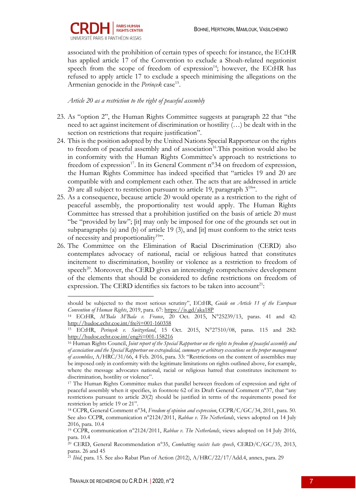

associated with the prohibition of certain types of speech: for instance, the ECtHR has applied article 17 of the Convention to exclude a Shoah-related negationist speech from the scope of freedom of expression<sup>14</sup>; however, the ECtHR has refused to apply article 17 to exclude a speech minimising the allegations on the Armenian genocide in the *Perincek* case<sup>15</sup>.

*Article 20 as a restriction to the right of peaceful assembly*

- 23. As "option 2", the Human Rights Committee suggests at paragraph 22 that "the need to act against incitement of discrimination or hostility (…) be dealt with in the section on restrictions that require justification".
- 24. This is the position adopted by the United Nations Special Rapporteur on the rights to freedom of peaceful assembly and of association<sup>16</sup>. This position would also be in conformity with the Human Rights Committee's approach to restrictions to freedom of expression<sup>17</sup>. In its General Comment  $n^{\circ}34$  on freedom of expression, the Human Rights Committee has indeed specified that "articles 19 and 20 are compatible with and complement each other. The acts that are addressed in article 20 are all subject to restriction pursuant to article 19, paragraph 318".
- 25. As a consequence, because article 20 would operate as a restriction to the right of peaceful assembly, the proportionality test would apply. The Human Rights Committee has stressed that a prohibition justified on the basis of article 20 must "be "provided by law"; [it] may only be imposed for one of the grounds set out in subparagraphs (a) and (b) of article 19 (3), and [it] must conform to the strict tests of necessity and proportionality<sup>19</sup>".
- 26. The Committee on the Elimination of Racial Discrimination (CERD) also contemplates advocacy of national, racial or religious hatred that constitutes incitement to discrimination, hostility or violence as a restriction to freedom of speech<sup>20</sup>. Moreover, the CERD gives an interestingly comprehensive development of the elements that should be considered to define restrictions on freedom of expression. The CERD identifies six factors to be taken into account<sup>21</sup>:

should be subjected to the most serious scrutiny", ECtHR, *Guide on Article 11 of the European Convention of Human Rights*, 2019, para. 67: https://is.gd/aka18P

<sup>14</sup> ECtHR, *M'Bala M'Bala v. France*, 20 Oct. 2015, N°25239/13, paras. 41 and 42: http://hudoc.echr.coe.int/fre?i=001-160358

<sup>15</sup> ECtHR, *Perinçek v. Switzerland*, 15 Oct. 2015, N°27510/08, paras. 115 and 282: http://hudoc.echr.coe.int/eng?i=001-158216

<sup>16</sup> Human Rights Council, *Joint report of the Special Rapporteur on the rights to freedom of peaceful assembly and of association and the Special Rapporteur on extrajudicial, summary or arbitrary executions on the proper management of assemblies*, A/HRC/31/66, 4 Feb. 2016, para. 33: "Restrictions on the content of assemblies may be imposed only in conformity with the legitimate limitations on rights outlined above, for example, where the message advocates national, racial or religious hatred that constitutes incitement to discrimination, hostility or violence".

<sup>17</sup> The Human Rights Committee makes that parallel between freedom of expression and right of peaceful assembly when it specifies, in footnote 62 of its Draft General Comment n°37, that "any restrictions pursuant to article 20(2) should be justified in terms of the requirements posed for restriction by article 19 or 21".

<sup>18</sup> CCPR, General Comment n°34, *Freedom of opinion and expression*, CCPR/C/GC/34, 2011, para. 50. See also CCPR, communication n°2124/2011, *Rabbae v. The Netherlands*, views adopted on 14 July 2016, para. 10.4

<sup>19</sup> CCPR, communication n°2124/2011, *Rabbae v. The Netherlands*, views adopted on 14 July 2016, para. 10.4

<sup>20</sup> CERD, General Recommendation n°35, *Combatting racists hate speech*, CERD/C/GC/35, 2013, paras. 26 and 45

<sup>21</sup> *Ibid*, para. 15. See also Rabat Plan of Action (2012), A/HRC/22/17/Add.4, annex, para. 29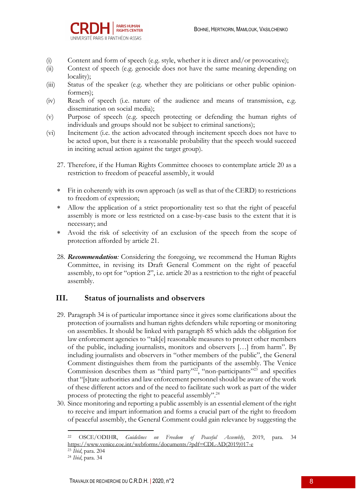

- (i) Content and form of speech (e.g. style, whether it is direct and/or provocative);
- (ii) Context of speech (e.g. genocide does not have the same meaning depending on locality);
- (iii) Status of the speaker (e.g. whether they are politicians or other public opinionformers);
- (iv) Reach of speech (i.e. nature of the audience and means of transmission, e.g. dissemination on social media);
- (v) Purpose of speech (e.g. speech protecting or defending the human rights of individuals and groups should not be subject to criminal sanctions);
- (vi) Incitement (i.e. the action advocated through incitement speech does not have to be acted upon, but there is a reasonable probability that the speech would succeed in inciting actual action against the target group).
	- 27. Therefore, if the Human Rights Committee chooses to contemplate article 20 as a restriction to freedom of peaceful assembly, it would
	- \* Fit in coherently with its own approach (as well as that of the CERD) to restrictions to freedom of expression;
	- Allow the application of a strict proportionality test so that the right of peaceful assembly is more or less restricted on a case-by-case basis to the extent that it is necessary; and
	- Avoid the risk of selectivity of an exclusion of the speech from the scope of protection afforded by article 21.
	- 28. *Recommendation:* Considering the foregoing, we recommend the Human Rights Committee, in revising its Draft General Comment on the right of peaceful assembly, to opt for "option 2", i.e. article 20 as a restriction to the right of peaceful assembly.

## **III. Status of journalists and observers**

- 29. Paragraph 34 is of particular importance since it gives some clarifications about the protection of journalists and human rights defenders while reporting or monitoring on assemblies. It should be linked with paragraph 85 which adds the obligation for law enforcement agencies to "tak[e] reasonable measures to protect other members of the public, including journalists, monitors and observers […] from harm". By including journalists and observers in "other members of the public", the General Comment distinguishes them from the participants of the assembly. The Venice Commission describes them as "third party"<sup>22</sup>, "non-participants"<sup>23</sup> and specifies that "[s]tate authorities and law enforcement personnel should be aware of the work of these different actors and of the need to facilitate such work as part of the wider process of protecting the right to peaceful assembly".24
- 30. Since monitoring and reporting a public assembly is an essential element of the right to receive and impart information and forms a crucial part of the right to freedom of peaceful assembly, the General Comment could gain relevance by suggesting the

<sup>22</sup> OSCE/ODIHR, *Guidelines on Freedom of Peaceful Assembly*, 2019, para. 34 https://www.venice.coe.int/webforms/documents/?pdf=CDL-AD(2019)017-e

<sup>23</sup> *Ibid*, para. 204

<sup>24</sup> *Ibid*, para. 34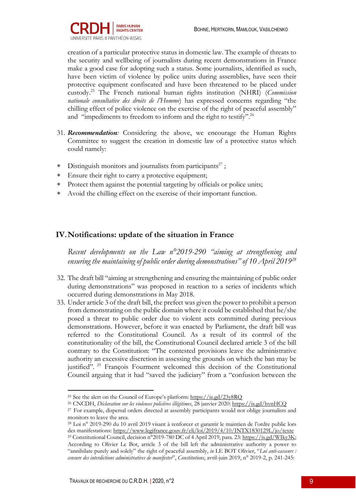

creation of a particular protective status in domestic law. The example of threats to the security and wellbeing of journalists during recent demonstrations in France make a good case for adopting such a status. Some journalists, identified as such, have been victim of violence by police units during assemblies, have seen their protective equipment confiscated and have been threatened to be placed under custody.25 The French national human rights institution (NHRI) (*Commission nationale consultative des droits de l'Homme*) has expressed concerns regarding "the chilling effect of police violence on the exercise of the right of peaceful assembly" and "impediments to freedom to inform and the right to testify".<sup>26</sup>

- 31. *Recommendation:* Considering the above, we encourage the Human Rights Committee to suggest the creation in domestic law of a protective status which could namely:
- \* Distinguish monitors and journalists from participants<sup>27</sup>;
- \* Ensure their right to carry a protective equipment;
- Protect them against the potential targeting by officials or police units;
- \* Avoid the chilling effect on the exercise of their important function.

## **IV.Notifications: update of the situation in France**

*Recent developments on the Law n°2019-290 "aiming at strengthening and ensuring the maintaining of public order during demonstrations" of 10 April 201928*

- 32. The draft bill "aiming at strengthening and ensuring the maintaining of public order during demonstrations" was proposed in reaction to a series of incidents which occurred during demonstrations in May 2018.
- 33. Under article 3 of the draft bill, the prefect was given the power to prohibit a person from demonstrating on the public domain where it could be established that he/she posed a threat to public order due to violent acts committed during previous demonstrations*.* However, before it was enacted by Parliament, the draft bill was referred to the Constitutional Council. As a result of its control of the constitutionality of the bill, the Constitutional Council declared article 3 of the bill contrary to the Constitution: "The contested provisions leave the administrative authority an excessive discretion in assessing the grounds on which the ban may be justified". <sup>29</sup> François Fourment welcomed this decision of the Constitutional Council arguing that it had "saved the judiciary" from a "confusion between the

<sup>26</sup> CNCDH, *Déclaration sur les violences policières illégitimes*, 28 janvier 2020: https://is.gd/hvnHCQ

<sup>&</sup>lt;sup>25</sup> See the alert on the Council of Europe's platform: https://is.gd/23y8RO

<sup>&</sup>lt;sup>27</sup> For example, dispersal orders directed at assembly participants would not oblige journalists and monitors to leave the area.

<sup>28</sup> Loi n° 2019-290 du 10 avril 2019 visant à renforcer et garantir le maintien de l'ordre public lors des manifestations: https://www.legifrance.gouv.fr/eli/loi/2019/4/10/INTX1830129L/jo/texte <sup>29</sup> Constitutional Council, decision n°2019-780 DC of 4 April 2019, para. 23: https://is.gd/WIky3K; According to Olivier Le Bot, article 3 of the bill left the administrative authority a power to "annihilate purely and solely" the right of peaceful assembly, *in* LE BOT Olivier, "*Loi anti-casseurs : censure des interdictions administratives de manifester*", *Constitutions*, avril-juin 2019, n° 2019-2, p. 241-245: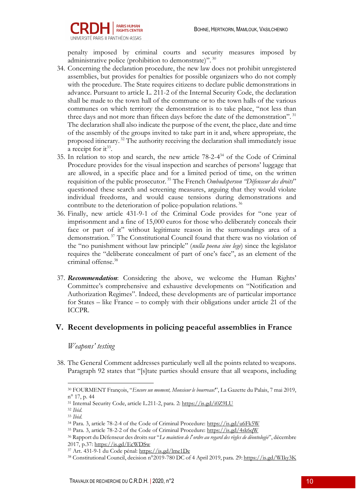

penalty imposed by criminal courts and security measures imposed by administrative police (prohibition to demonstrate)". <sup>30</sup>

- 34. Concerning the declaration procedure, the new law does not prohibit unregistered assemblies, but provides for penalties for possible organizers who do not comply with the procedure. The State requires citizens to declare public demonstrations in advance. Pursuant to article L. 211-2 of the Internal Security Code, the declaration shall be made to the town hall of the commune or to the town halls of the various communes on which territory the demonstration is to take place, "not less than three days and not more than fifteen days before the date of the demonstration".<sup>31</sup> The declaration shall also indicate the purpose of the event, the place, date and time of the assembly of the groups invited to take part in it and, where appropriate, the proposed itinerary. <sup>32</sup> The authority receiving the declaration shall immediately issue a receipt for it<sup>33</sup>.
- 35. In relation to stop and search, the new article 78-2-434 of the Code of Criminal Procedure provides for the visual inspection and searches of persons' luggage that are allowed, in a specific place and for a limited period of time, on the written requisition of the public prosecutor. <sup>35</sup> The French *Ombudsperson "Défenseur des droits*" questioned these search and screening measures, arguing that they would violate individual freedoms, and would cause tensions during demonstrations and contribute to the deterioration of police-population relations. <sup>36</sup>
- 36. Finally, new article 431-9-1 of the Criminal Code provides for "one year of imprisonment and a fine of 15,000 euros for those who deliberately conceals their face or part of it" without legitimate reason in the surroundings area of a demonstration. <sup>37</sup> The Constitutional Council found that there was no violation of the "no punishment without law principle" (*nulla poena sine lege*) since the legislator requires the "deliberate concealment of part of one's face", as an element of the criminal offense.38
- 37. *Recommendation*: Considering the above, we welcome the Human Rights' Committee's comprehensive and exhaustive developments on "Notification and Authorization Regimes". Indeed, these developments are of particular importance for States – like France – to comply with their obligations under article 21 of the ICCPR.

## **V. Recent developments in policing peaceful assemblies in France**

#### *Weapons' testing*

38. The General Comment addresses particularly well all the points related to weapons. Paragraph 92 states that "[s]tate parties should ensure that all weapons, including

<sup>30</sup> FOURMENT François, "*Encore un moment, Monsieur le bourreau!*", La Gazette du Palais, 7 mai 2019, n° 17, p. 44

<sup>31</sup> Internal Security Code, article L.211-2, para. 2: https://is.gd/i0Z9LU

<sup>32</sup> *Ibid*.

<sup>33</sup> *Ibid*.

<sup>34</sup> Para. 3, article 78-2-4 of the Code of Criminal Procedure: https://is.gd/u6Fk5W

<sup>35</sup> Para. 3, article 78-2-2 of the Code of Criminal Procedure: https://is.gd/4sk6qW 36 Rapport du Défenseur des droits sur "*Le maintien de l*'*ordre au regard des règles de déontologie*", décembre 2017, p.37: https://is.gd/EcWDSw

<sup>37</sup> Art. 431-9-1 du Code pénal: https://is.gd/lme1De

<sup>38</sup> Constitutional Council, decision n°2019-780 DC of 4 April 2019, para. 29: https://is.gd/WIky3K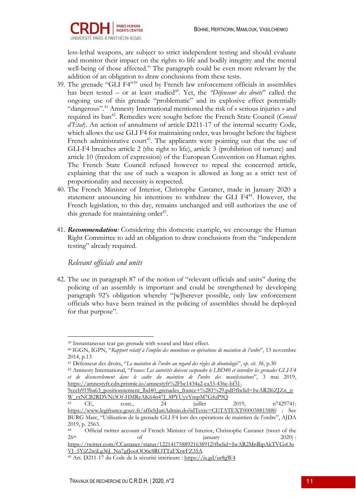

less-lethal weapons, are subject to strict independent testing and should evaluate and monitor their impact on the rights to life and bodily integrity and the mental well-being of those affected." The paragraph could be even more relevant by the addition of an obligation to draw conclusions from these tests.

- 39. The grenade "GLI F4"39 used by French law enforcement officials in assemblies has been tested – or at least studied<sup>40</sup>. Yet, the *'Défenseur des droits'* called the ongoing use of this grenade "problematic" and its explosive effect potentially "dangerous".41 Amnesty International mentioned the risk of « serious injuries » and required its ban<sup>42</sup>. Remedies were sought before the French State Council (*Conseil d'Etat*). An action of annulment of article D211-17 of the internal security Code, which allows the use GLI F4 for maintaining order, was brought before the highest French administrative court<sup>43</sup>. The applicants were pointing out that the use of GLI-F4 breaches article 2 (the right to life), article 3 (prohibition of torture) and article 10 (freedom of expression) of the European Convention on Human rights. The French State Council refused however to repeal the concerned article, explaining that the use of such a weapon is allowed as long as a strict test of proportionality and necessity is respected.
- 40. The French Minister of Interior, Christophe Castaner, made in January 2020 a statement announcing his intentions to withdraw the GLI F4<sup>44</sup>. However, the French legislation, to this day, remains unchanged and still authorizes the use of this grenade for maintaining order<sup>45</sup>.
- 41. *Recommendation:* Considering this domestic example, we encourage the Human Right Committee to add an obligation to draw conclusions from the "independent testing" already required.

*Relevant officials and units*

42. The use in paragraph 87 of the notion of "relevant officials and units" during the policing of an assembly is important and could be strengthened by developing paragraph 92's obligation whereby "[w]herever possible, only law enforcement officials who have been trained in the policing of assemblies should be deployed for that purpose".

<sup>39</sup> Instantaneous tear gas grenade with sound and blast effect.

<sup>40</sup> IGGN, IGPN, "*Rapport relatif à l'emploi des munitions en opérations de maintien de l'ordre*", 13 novembre 2014, p.13

<sup>41</sup> Défenseur des droits, "*Le maintien de l'ordre au regard des règles de déontologie*", *op. cit. 36*, p.30

<sup>42</sup> Amnesty International, "*France: Les autorités doivent suspendre le LBD40 et interdire les grenades GLI-F4 et de désencerclement dans le cadre du maintien de l'ordre des manifestations*", 3 mai 2019, https://amnestyfr.cdn.prismic.io/amnestyfr%2Fbc1434a2-ca33-436c-bf31-

<sup>9</sup>ceeb919ba63 positionnement lbd40 grenades france+%281%29.pdf?fbclid=IwAR2l6ZJZn jy W\_rxNCB2RDVNi3Of-HMReAK64n47J\_8PYUvvYmpM7GfuP9Q

<sup>43</sup> CE, cont., 24 juillet 2019,  $n^{\circ}429741$ : https://www.legifrance.gouv.fr/affichJuriAdmin.do?idTexte=CETATEXT000038815880 ; See BURG Marc, "Utilisation de la grenade GLI F4 lors des opérations de maintien de l'ordre", AJDA 2019, p. 2563.<br>44 Official

Official twitter account of French Minister of Interior, Christophe Castaner (tweet of the  $26<sup>th</sup>$  of january 2020):

https://twitter.com/CCastaner/status/1221417588921638912?fbclid=IwAR2MnRipAkTVGsOu VJ\_5YjZ2wjLg36J\_Nn7gfJooOO6c8ROTTaFXtwFZ35A

<sup>45</sup> Art. D211-17 du Code de la sécurité intérieure : https://is.gd/ur8gW4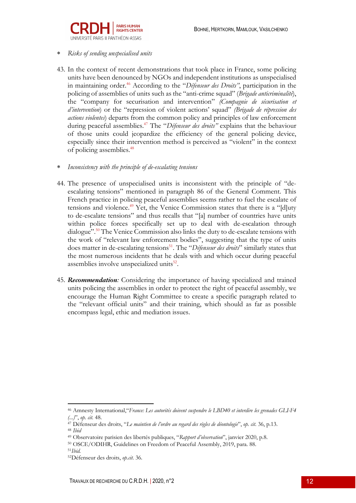

#### \* *Risks of sending unspecialised units*

- 43. In the context of recent demonstrations that took place in France, some policing units have been denounced by NGOs and independent institutions as unspecialised in maintaining order.46 According to the "*Défenseur des Droits"*, participation in the policing of assemblies of units such as the "anti-crime squad" (*Brigade anticriminalité*), the "company for securisation and intervention" *(Compagnie de sécurisation et d'intervention*) or the "repression of violent actions' squad" *(Brigade de répression des actions violentes*) departs from the common policy and principles of law enforcement during peaceful assemblies.47 The "*Défenseur des droits"* explains that the behaviour of those units could jeopardize the efficiency of the general policing device, especially since their intervention method is perceived as "violent" in the context of policing assemblies.<sup>48</sup>
- \* *Inconsistency with the principle of de-escalating tensions*
- 44. The presence of unspecialised units is inconsistent with the principle of "deescalating tensions" mentioned in paragraph 86 of the General Comment. This French practice in policing peaceful assemblies seems rather to fuel the escalate of tensions and violence.<sup>49</sup> Yet, the Venice Commission states that there is a "[d]uty to de-escalate tensions" and thus recalls that "[a] number of countries have units within police forces specifically set up to deal with de-escalation through dialogue".<sup>50</sup> The Venice Commission also links the duty to de-escalate tensions with the work of "relevant law enforcement bodies", suggesting that the type of units does matter in de-escalating tensions<sup>51</sup>. The "*Défenseur des droits*" similarly states that the most numerous incidents that he deals with and which occur during peaceful assemblies involve unspecialized units<sup>52</sup>.
- 45. *Recommendation:* Considering the importance of having specialized and trained units policing the assemblies in order to protect the right of peaceful assembly, we encourage the Human Right Committee to create a specific paragraph related to the "relevant official units" and their training, which should as far as possible encompass legal, ethic and mediation issues.

<sup>46</sup> Amnesty International,"*France: Les autorités doivent suspendre le LBD40 et interdire les grenades GLI-F4 (...)*", *op. cit.* 48.

<sup>47</sup> Défenseur des droits, "*Le maintien de l'ordre au regard des règles de déontologie*", *op. cit*. 36, p.13. <sup>48</sup> *Ibid*

<sup>49</sup> Observatoire parisien des libertés publiques, "*Rapport d'observation*", janvier 2020, p.8.

<sup>50</sup> OSCE/ODIHR, Guidelines on Freedom of Peaceful Assembly, 2019, para. 88.

<sup>51</sup>*Ibid.*

<sup>52</sup>Défenseur des droits, *op.cit.* 36.